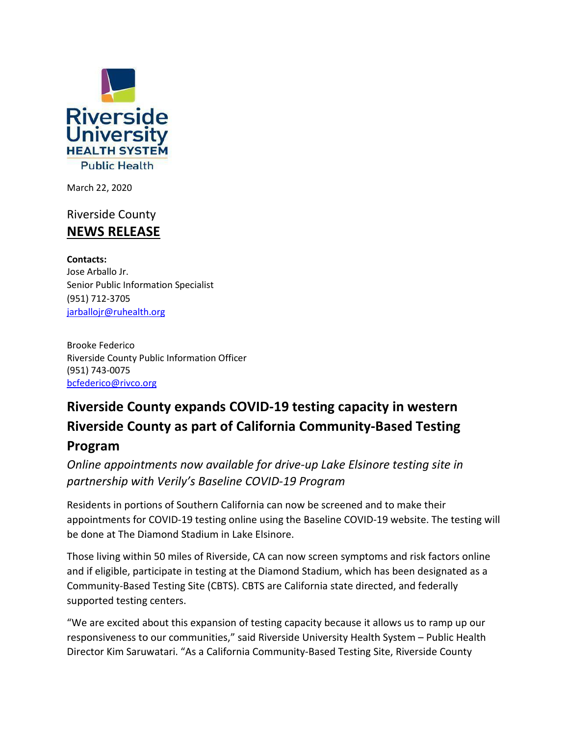

March 22, 2020

## Riverside County **NEWS RELEASE**

**Contacts:**  Jose Arballo Jr. Senior Public Information Specialist (951) 712-3705 jarballojr@ruhealth.org

Brooke Federico Riverside County Public Information Officer (951) 743-0075 [bcfederico@rivco.org](mailto:bcfederico@rivco.org)

## **Riverside County expands COVID-19 testing capacity in western Riverside County as part of California Community-Based Testing Program**

*Online appointments now available for drive-up Lake Elsinore testing site in partnership with Verily's Baseline COVID-19 Program*

Residents in portions of Southern California can now be screened and to make their appointments for COVID-19 testing online using the Baseline COVID-19 website. The testing will be done at The Diamond Stadium in Lake Elsinore.

Those living within 50 miles of Riverside, CA can now screen symptoms and risk factors online and if eligible, participate in testing at the Diamond Stadium, which has been designated as a Community-Based Testing Site (CBTS). CBTS are California state directed, and federally supported testing centers.

"We are excited about this expansion of testing capacity because it allows us to ramp up our responsiveness to our communities," said Riverside University Health System – Public Health Director Kim Saruwatari. "As a California Community-Based Testing Site, Riverside County